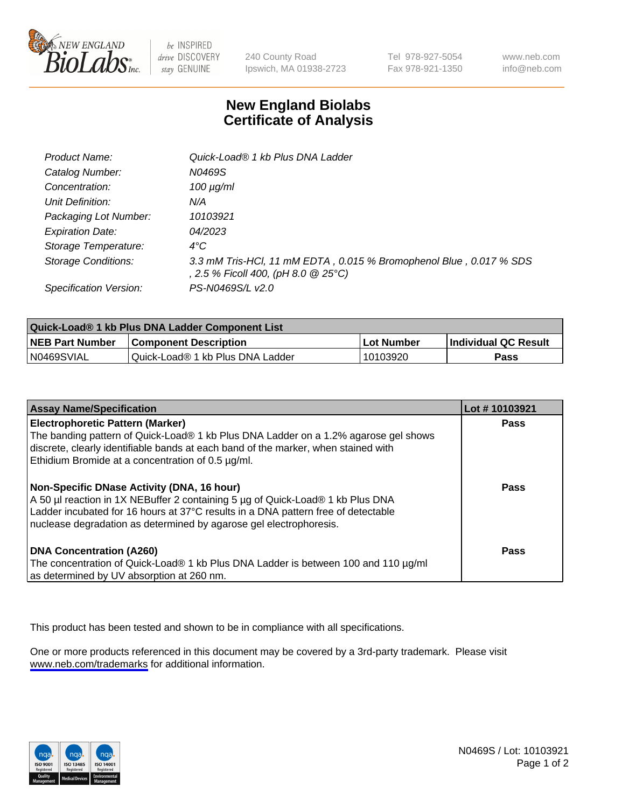

be INSPIRED drive DISCOVERY stay GENUINE

240 County Road Ipswich, MA 01938-2723 Tel 978-927-5054 Fax 978-921-1350

www.neb.com info@neb.com

## **New England Biolabs Certificate of Analysis**

| Product Name:              | Quick-Load® 1 kb Plus DNA Ladder                                                                          |
|----------------------------|-----------------------------------------------------------------------------------------------------------|
| Catalog Number:            | N0469S                                                                                                    |
| Concentration:             | $100 \mu g/ml$                                                                                            |
| Unit Definition:           | N/A                                                                                                       |
| Packaging Lot Number:      | 10103921                                                                                                  |
| <b>Expiration Date:</b>    | 04/2023                                                                                                   |
| Storage Temperature:       | $4^{\circ}$ C                                                                                             |
| <b>Storage Conditions:</b> | 3.3 mM Tris-HCl, 11 mM EDTA, 0.015 % Bromophenol Blue, 0.017 % SDS<br>, 2.5 % Ficoll 400, (pH 8.0 @ 25°C) |
| Specification Version:     | PS-N0469S/L v2.0                                                                                          |

| Quick-Load® 1 kb Plus DNA Ladder Component List |                                  |            |                             |  |
|-------------------------------------------------|----------------------------------|------------|-----------------------------|--|
| <b>NEB Part Number</b>                          | <b>Component Description</b>     | Lot Number | <b>Individual QC Result</b> |  |
| N0469SVIAL                                      | Quick-Load® 1 kb Plus DNA Ladder | 10103920   | Pass                        |  |

| <b>Assay Name/Specification</b>                                                                                                                                                                                                                                                                | Lot #10103921 |
|------------------------------------------------------------------------------------------------------------------------------------------------------------------------------------------------------------------------------------------------------------------------------------------------|---------------|
| <b>Electrophoretic Pattern (Marker)</b><br>The banding pattern of Quick-Load® 1 kb Plus DNA Ladder on a 1.2% agarose gel shows<br>discrete, clearly identifiable bands at each band of the marker, when stained with<br>Ethidium Bromide at a concentration of 0.5 µg/ml.                      | Pass          |
| <b>Non-Specific DNase Activity (DNA, 16 hour)</b><br>A 50 µl reaction in 1X NEBuffer 2 containing 5 µg of Quick-Load® 1 kb Plus DNA<br>Ladder incubated for 16 hours at 37°C results in a DNA pattern free of detectable<br>nuclease degradation as determined by agarose gel electrophoresis. | Pass          |
| <b>DNA Concentration (A260)</b><br>The concentration of Quick-Load® 1 kb Plus DNA Ladder is between 100 and 110 µg/ml<br>as determined by UV absorption at 260 nm.                                                                                                                             | Pass          |

This product has been tested and shown to be in compliance with all specifications.

One or more products referenced in this document may be covered by a 3rd-party trademark. Please visit <www.neb.com/trademarks>for additional information.